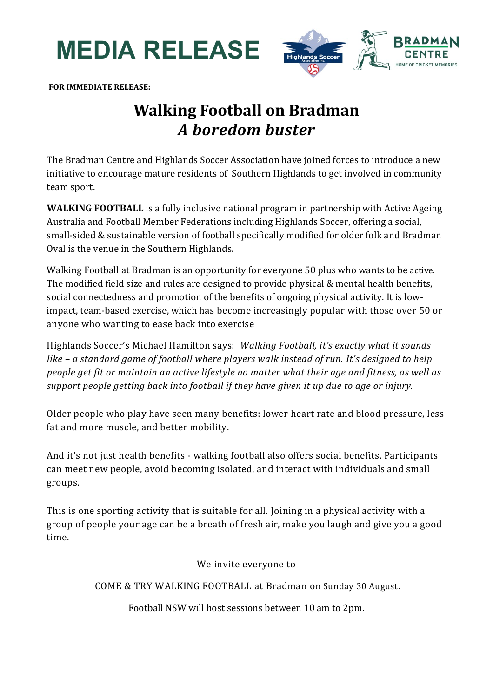**MEDIA RELEASE**



**FOR IMMEDIATE RELEASE:**

## **Walking Football on Bradman** *A boredom buster*

The Bradman Centre and Highlands Soccer Association have joined forces to introduce a new initiative to encourage mature residents of Southern Highlands to get involved in community team sport.

**WALKING FOOTBALL** is a fully inclusive national program in partnership with Active Ageing Australia and Football Member Federations including Highlands Soccer, offering a social, small-sided & sustainable version of football specifically modified for older folk and Bradman Oval is the venue in the Southern Highlands.

Walking Football at Bradman is an opportunity for everyone 50 plus who wants to be active. The modified field size and rules are designed to provide physical & mental health benefits, social connectedness and promotion of the benefits of ongoing physical activity. It is lowimpact, team-based exercise, which has become increasingly popular with those over 50 or anyone who wanting to ease back into exercise

Highlands Soccer's Michael Hamilton says: *Walking Football, it's exactly what it sounds like – a standard game of football where players walk instead of run. It's designed to help people get fit or maintain an active lifestyle no matter what their age and fitness, as well as support people getting back into football if they have given it up due to age or injury.*

Older people who play have seen many benefits: lower heart rate and blood pressure, less fat and more muscle, and better mobility.

And it's not just health benefits - walking football also offers social benefits. Participants can meet new people, avoid becoming isolated, and interact with individuals and small groups.

This is one sporting activity that is suitable for all. Joining in a physical activity with a group of people your age can be a breath of fresh air, make you laugh and give you a good time.

We invite everyone to

COME & TRY WALKING FOOTBALL at Bradman on Sunday 30 August.

Football NSW will host sessions between 10 am to 2pm.